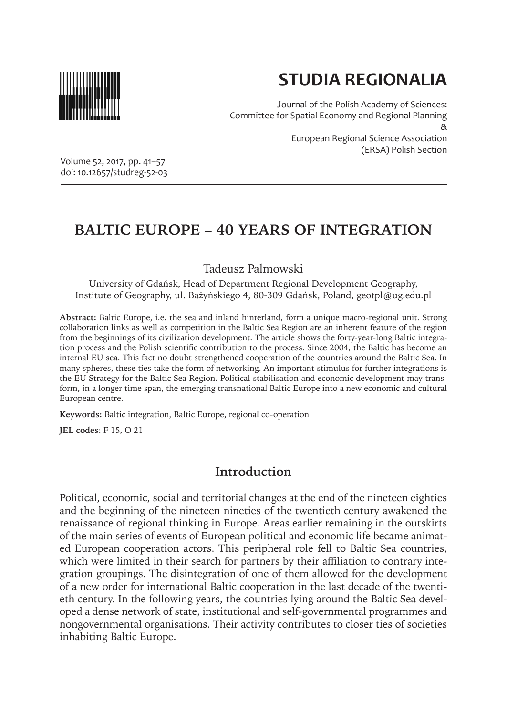

# **STUDIA REGIONALIA**

Journal of the Polish Academy of Sciences: Committee for Spatial Economy and Regional Planning & European Regional Science Association (ERSA) Polish Section

Volume 52, 2017, pp. 41–57 doi: 10.12657/studreg-52-03

## **BALTIC EUROPE – 40 YEARS OF INTEGRATION**

Tadeusz Palmowski

University of Gdańsk, Head of Department Regional Development Geography, Institute of Geography, ul. Bażyńskiego 4, 80-309 Gdańsk, Poland, geotpl@ug.edu.pl

**Abstract:** Baltic Europe, i.e. the sea and inland hinterland, form a unique macro-regional unit. Strong collaboration links as well as competition in the Baltic Sea Region are an inherent feature of the region from the beginnings of its civilization development. The article shows the forty-year-long Baltic integration process and the Polish scientific contribution to the process. Since 2004, the Baltic has become an internal EU sea. This fact no doubt strengthened cooperation of the countries around the Baltic Sea. In many spheres, these ties take the form of networking. An important stimulus for further integrations is the EU Strategy for the Baltic Sea Region. Political stabilisation and economic development may transform, in a longer time span, the emerging transnational Baltic Europe into a new economic and cultural European centre.

**Keywords:** Baltic integration, Baltic Europe, regional co-operation

**JEL codes**: F 15, O 21

#### **Introduction**

Political, economic, social and territorial changes at the end of the nineteen eighties and the beginning of the nineteen nineties of the twentieth century awakened the renaissance of regional thinking in Europe. Areas earlier remaining in the outskirts of the main series of events of European political and economic life became animated European cooperation actors. This peripheral role fell to Baltic Sea countries, which were limited in their search for partners by their affiliation to contrary integration groupings. The disintegration of one of them allowed for the development of a new order for international Baltic cooperation in the last decade of the twentieth century. In the following years, the countries lying around the Baltic Sea developed a dense network of state, institutional and self-governmental programmes and nongovernmental organisations. Their activity contributes to closer ties of societies inhabiting Baltic Europe.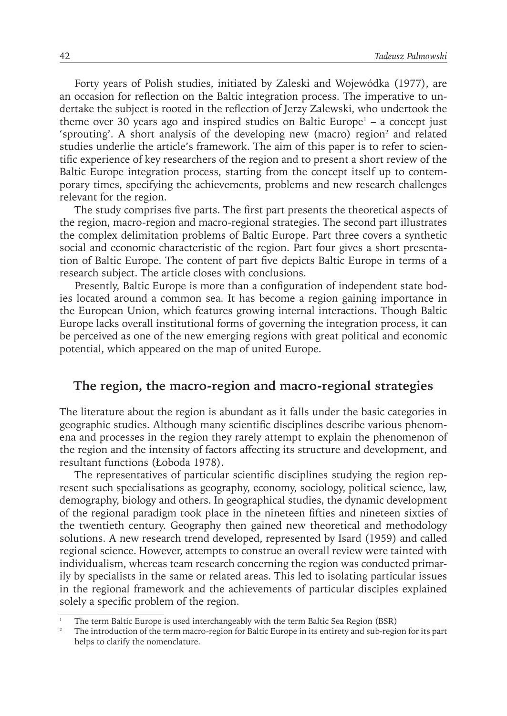Forty years of Polish studies, initiated by Zaleski and Wojewódka (1977), are an occasion for reflection on the Baltic integration process. The imperative to undertake the subject is rooted in the reflection of Jerzy Zalewski, who undertook the theme over 30 years ago and inspired studies on Baltic Europe $^{\rm l}$  – a concept just 'sprouting'. A short analysis of the developing new (macro) region<sup>2</sup> and related studies underlie the article's framework. The aim of this paper is to refer to scientific experience of key researchers of the region and to present a short review of the Baltic Europe integration process, starting from the concept itself up to contemporary times, specifying the achievements, problems and new research challenges relevant for the region.

The study comprises five parts. The first part presents the theoretical aspects of the region, macro-region and macro-regional strategies. The second part illustrates the complex delimitation problems of Baltic Europe. Part three covers a synthetic social and economic characteristic of the region. Part four gives a short presentation of Baltic Europe. The content of part five depicts Baltic Europe in terms of a research subject. The article closes with conclusions.

Presently, Baltic Europe is more than a configuration of independent state bodies located around a common sea. It has become a region gaining importance in the European Union, which features growing internal interactions. Though Baltic Europe lacks overall institutional forms of governing the integration process, it can be perceived as one of the new emerging regions with great political and economic potential, which appeared on the map of united Europe.

### **The region, the macro-region and macro-regional strategies**

The literature about the region is abundant as it falls under the basic categories in geographic studies. Although many scientific disciplines describe various phenomena and processes in the region they rarely attempt to explain the phenomenon of the region and the intensity of factors affecting its structure and development, and resultant functions (Łoboda 1978).

The representatives of particular scientific disciplines studying the region represent such specialisations as geography, economy, sociology, political science, law, demography, biology and others. In geographical studies, the dynamic development of the regional paradigm took place in the nineteen fifties and nineteen sixties of the twentieth century. Geography then gained new theoretical and methodology solutions. A new research trend developed, represented by Isard (1959) and called regional science. However, attempts to construe an overall review were tainted with individualism, whereas team research concerning the region was conducted primarily by specialists in the same or related areas. This led to isolating particular issues in the regional framework and the achievements of particular disciples explained solely a specific problem of the region.

The term Baltic Europe is used interchangeably with the term Baltic Sea Region (BSR)

<sup>2</sup> The introduction of the term macro-region for Baltic Europe in its entirety and sub-region for its part helps to clarify the nomenclature.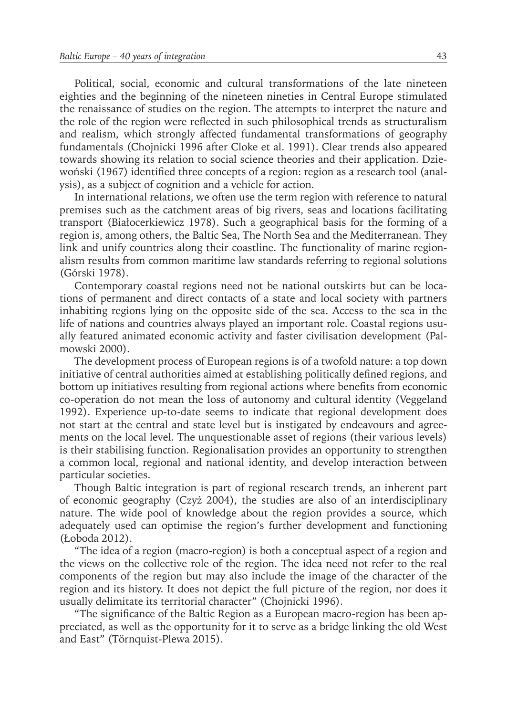Political, social, economic and cultural transformations of the late nineteen eighties and the beginning of the nineteen nineties in Central Europe stimulated the renaissance of studies on the region. The attempts to interpret the nature and the role of the region were reflected in such philosophical trends as structuralism and realism, which strongly affected fundamental transformations of geography fundamentals (Chojnicki 1996 after Cloke et al. 1991). Clear trends also appeared towards showing its relation to social science theories and their application. Dziewoński (1967) identified three concepts of a region: region as a research tool (analysis), as a subject of cognition and a vehicle for action.

In international relations, we often use the term region with reference to natural premises such as the catchment areas of big rivers, seas and locations facilitating transport (Białocerkiewicz 1978). Such a geographical basis for the forming of a region is, among others, the Baltic Sea, The North Sea and the Mediterranean. They link and unify countries along their coastline. The functionality of marine regionalism results from common maritime law standards referring to regional solutions (Górski 1978).

Contemporary coastal regions need not be national outskirts but can be locations of permanent and direct contacts of a state and local society with partners inhabiting regions lying on the opposite side of the sea. Access to the sea in the life of nations and countries always played an important role. Coastal regions usually featured animated economic activity and faster civilisation development (Palmowski 2000).

The development process of European regions is of a twofold nature: a top down initiative of central authorities aimed at establishing politically defined regions, and bottom up initiatives resulting from regional actions where benefits from economic co-operation do not mean the loss of autonomy and cultural identity (Veggeland 1992). Experience up-to-date seems to indicate that regional development does not start at the central and state level but is instigated by endeavours and agreements on the local level. The unquestionable asset of regions (their various levels) is their stabilising function. Regionalisation provides an opportunity to strengthen a common local, regional and national identity, and develop interaction between particular societies.

Though Baltic integration is part of regional research trends, an inherent part of economic geography (Czyż 2004), the studies are also of an interdisciplinary nature. The wide pool of knowledge about the region provides a source, which adequately used can optimise the region's further development and functioning (Łoboda 2012).

"The idea of a region (macro-region) is both a conceptual aspect of a region and the views on the collective role of the region. The idea need not refer to the real components of the region but may also include the image of the character of the region and its history. It does not depict the full picture of the region, nor does it usually delimitate its territorial character" (Chojnicki 1996).

"The significance of the Baltic Region as a European macro-region has been appreciated, as well as the opportunity for it to serve as a bridge linking the old West and East" (Törnquist-Plewa 2015).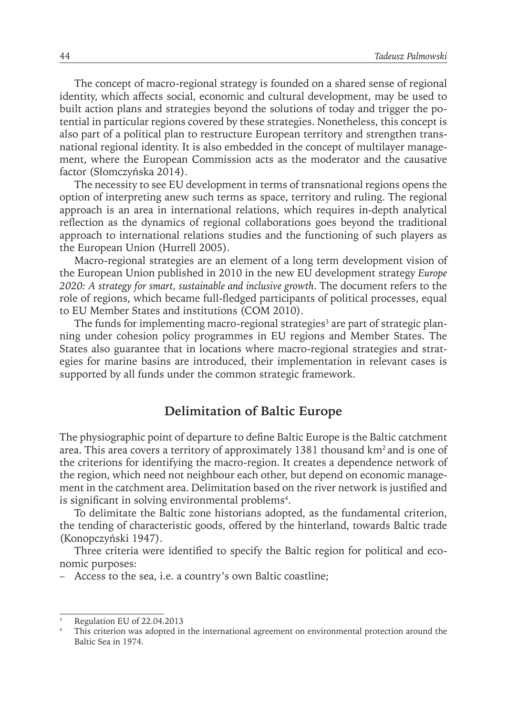The concept of macro-regional strategy is founded on a shared sense of regional identity, which affects social, economic and cultural development, may be used to built action plans and strategies beyond the solutions of today and trigger the potential in particular regions covered by these strategies. Nonetheless, this concept is also part of a political plan to restructure European territory and strengthen transnational regional identity. It is also embedded in the concept of multilayer management, where the European Commission acts as the moderator and the causative factor (Słomczyńska 2014).

The necessity to see EU development in terms of transnational regions opens the option of interpreting anew such terms as space, territory and ruling. The regional approach is an area in international relations, which requires in-depth analytical reflection as the dynamics of regional collaborations goes beyond the traditional approach to international relations studies and the functioning of such players as the European Union (Hurrell 2005).

Macro-regional strategies are an element of a long term development vision of the European Union published in 2010 in the new EU development strategy *Europe 2020: A strategy for smart, sustainable and inclusive growth*. The document refers to the role of regions, which became full-fledged participants of political processes, equal to EU Member States and institutions (COM 2010).

The funds for implementing macro-regional strategies<sup>3</sup> are part of strategic planning under cohesion policy programmes in EU regions and Member States. The States also guarantee that in locations where macro-regional strategies and strategies for marine basins are introduced, their implementation in relevant cases is supported by all funds under the common strategic framework.

#### **Delimitation of Baltic Europe**

The physiographic point of departure to define Baltic Europe is the Baltic catchment area. This area covers a territory of approximately 1381 thousand km<sup>2</sup> and is one of the criterions for identifying the macro-region. It creates a dependence network of the region, which need not neighbour each other, but depend on economic management in the catchment area. Delimitation based on the river network is justified and is significant in solving environmental problems $4$ .

To delimitate the Baltic zone historians adopted, as the fundamental criterion, the tending of characteristic goods, offered by the hinterland, towards Baltic trade (Konopczyński 1947).

Three criteria were identified to specify the Baltic region for political and economic purposes:

– Access to the sea, i.e. a country's own Baltic coastline;

Regulation EU of 22.04.2013

This criterion was adopted in the international agreement on environmental protection around the Baltic Sea in 1974.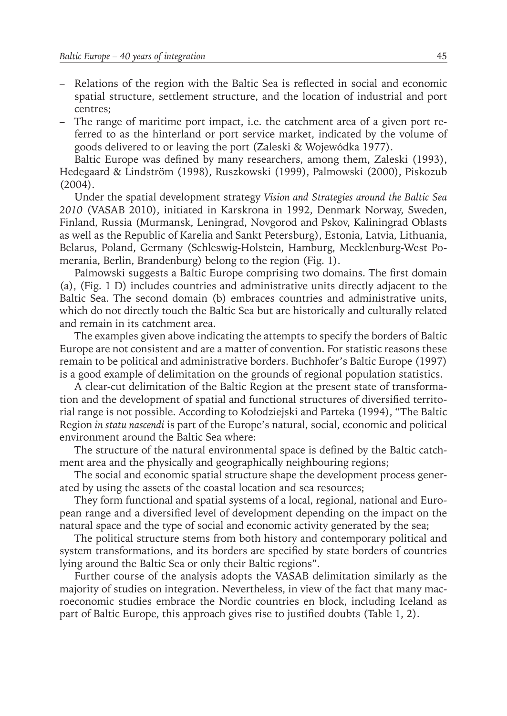- Relations of the region with the Baltic Sea is reflected in social and economic spatial structure, settlement structure, and the location of industrial and port centres;
- The range of maritime port impact, i.e. the catchment area of a given port referred to as the hinterland or port service market, indicated by the volume of goods delivered to or leaving the port (Zaleski & Wojewódka 1977).

Baltic Europe was defined by many researchers, among them, Zaleski (1993), Hedegaard & Lindström (1998), Ruszkowski (1999), Palmowski (2000), Piskozub (2004).

Under the spatial development strategy *Vision and Strategies around the Baltic Sea 2010* (VASAB 2010), initiated in Karskrona in 1992, Denmark Norway, Sweden, Finland, Russia (Murmansk, Leningrad, Novgorod and Pskov, Kaliningrad Oblasts as well as the Republic of Karelia and Sankt Petersburg), Estonia, Latvia, Lithuania, Belarus, Poland, Germany (Schleswig-Holstein, Hamburg, Mecklenburg-West Pomerania, Berlin, Brandenburg) belong to the region (Fig. 1).

Palmowski suggests a Baltic Europe comprising two domains. The first domain (a), (Fig. 1 D) includes countries and administrative units directly adjacent to the Baltic Sea. The second domain (b) embraces countries and administrative units, which do not directly touch the Baltic Sea but are historically and culturally related and remain in its catchment area.

The examples given above indicating the attempts to specify the borders of Baltic Europe are not consistent and are a matter of convention. For statistic reasons these remain to be political and administrative borders. Buchhofer's Baltic Europe (1997) is a good example of delimitation on the grounds of regional population statistics.

A clear-cut delimitation of the Baltic Region at the present state of transformation and the development of spatial and functional structures of diversified territorial range is not possible. According to Kołodziejski and Parteka (1994), "The Baltic Region *in statu nascendi* is part of the Europe's natural, social, economic and political environment around the Baltic Sea where:

The structure of the natural environmental space is defined by the Baltic catchment area and the physically and geographically neighbouring regions;

The social and economic spatial structure shape the development process generated by using the assets of the coastal location and sea resources;

They form functional and spatial systems of a local, regional, national and European range and a diversified level of development depending on the impact on the natural space and the type of social and economic activity generated by the sea;

The political structure stems from both history and contemporary political and system transformations, and its borders are specified by state borders of countries lying around the Baltic Sea or only their Baltic regions".

Further course of the analysis adopts the VASAB delimitation similarly as the majority of studies on integration. Nevertheless, in view of the fact that many macroeconomic studies embrace the Nordic countries en block, including Iceland as part of Baltic Europe, this approach gives rise to justified doubts (Table 1, 2).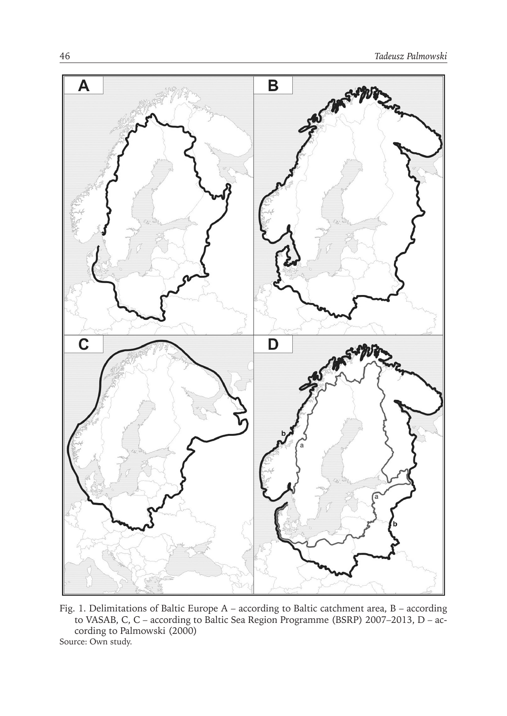

Fig. 1. Delimitations of Baltic Europe A – according to Baltic catchment area, B – according to VASAB, C, C – according to Baltic Sea Region Programme (BSRP) 2007–2013, D – according to Palmowski (2000) Source: Own study.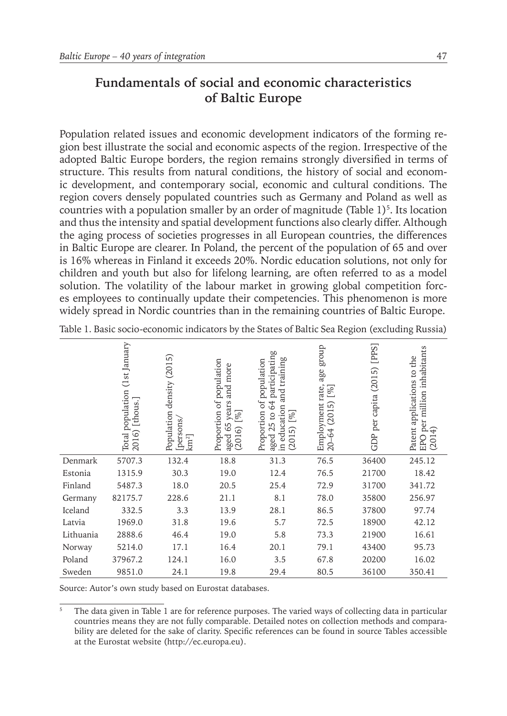#### **Fundamentals of social and economic characteristics of Baltic Europe**

Population related issues and economic development indicators of the forming region best illustrate the social and economic aspects of the region. Irrespective of the adopted Baltic Europe borders, the region remains strongly diversified in terms of structure. This results from natural conditions, the history of social and economic development, and contemporary social, economic and cultural conditions. The region covers densely populated countries such as Germany and Poland as well as countries with a population smaller by an order of magnitude (Table 1)<sup>5</sup>. Its location and thus the intensity and spatial development functions also clearly differ. Although the aging process of societies progresses in all European countries, the differences in Baltic Europe are clearer. In Poland, the percent of the population of 65 and over is 16% whereas in Finland it exceeds 20%. Nordic education solutions, not only for children and youth but also for lifelong learning, are often referred to as a model solution. The volatility of the labour market in growing global competition forces employees to continually update their competencies. This phenomenon is more widely spread in Nordic countries than in the remaining countries of Baltic Europe.

|           | (1st January<br>population<br>[thous.]<br>2016)<br>Total | (2015)<br>density<br>Population<br>[persons/<br>km <sup>2</sup> | Proportion of population<br>more<br>and<br>years<br>[%]<br>65<br>ତି<br>aged<br>(2016 | participating<br>training<br>of population<br>and<br>64<br>education<br>Proportion<br>$[\%]$<br>25 <sub>to</sub><br>5<br>aged<br>(201)<br>$\Xi$ | dno.fa<br>age<br>Employment rate,<br>20–64 (2015) [%] | [PPS]<br>(2015)<br>capita<br>per<br>GDP | million inhabitants<br>Patent applications to the<br>per<br>(2014)<br>EPO |
|-----------|----------------------------------------------------------|-----------------------------------------------------------------|--------------------------------------------------------------------------------------|-------------------------------------------------------------------------------------------------------------------------------------------------|-------------------------------------------------------|-----------------------------------------|---------------------------------------------------------------------------|
| Denmark   | 5707.3                                                   | 132.4                                                           | 18.8                                                                                 | 31.3                                                                                                                                            | 76.5                                                  | 36400                                   | 245.12                                                                    |
| Estonia   | 1315.9                                                   | 30.3                                                            | 19.0                                                                                 | 12.4                                                                                                                                            | 76.5                                                  | 21700                                   | 18.42                                                                     |
| Finland   | 5487.3                                                   | 18.0                                                            | 20.5                                                                                 | 25.4                                                                                                                                            | 72.9                                                  | 31700                                   | 341.72                                                                    |
| Germany   | 82175.7                                                  | 228.6                                                           | 21.1                                                                                 | 8.1                                                                                                                                             | 78.0                                                  | 35800                                   | 256.97                                                                    |
| Iceland   | 332.5                                                    | 3.3                                                             | 13.9                                                                                 | 28.1                                                                                                                                            | 86.5                                                  | 37800                                   | 97.74                                                                     |
| Latvia    | 1969.0                                                   | 31.8                                                            | 19.6                                                                                 | 5.7                                                                                                                                             | 72.5                                                  | 18900                                   | 42.12                                                                     |
| Lithuania | 2888.6                                                   | 46.4                                                            | 19.0                                                                                 | 5.8                                                                                                                                             | 73.3                                                  | 21900                                   | 16.61                                                                     |
| Norway    | 5214.0                                                   | 17.1                                                            | 16.4                                                                                 | 20.1                                                                                                                                            | 79.1                                                  | 43400                                   | 95.73                                                                     |
| Poland    | 37967.2                                                  | 124.1                                                           | 16.0                                                                                 | 3.5                                                                                                                                             | 67.8                                                  | 20200                                   | 16.02                                                                     |
| Sweden    | 9851.0                                                   | 24.1                                                            | 19.8                                                                                 | 29.4                                                                                                                                            | 80.5                                                  | 36100                                   | 350.41                                                                    |

Table 1. Basic socio-economic indicators by the States of Baltic Sea Region (excluding Russia)

Source: Autor's own study based on Eurostat databases.

<sup>5</sup> The data given in Table 1 are for reference purposes. The varied ways of collecting data in particular countries means they are not fully comparable. Detailed notes on collection methods and comparability are deleted for the sake of clarity. Specific references can be found in source Tables accessible at the Eurostat website (http://ec.europa.eu).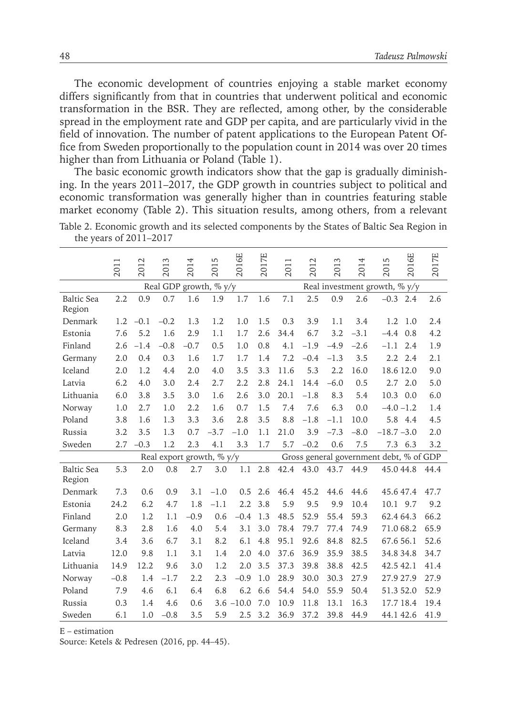The economic development of countries enjoying a stable market economy differs significantly from that in countries that underwent political and economic transformation in the BSR. They are reflected, among other, by the considerable spread in the employment rate and GDP per capita, and are particularly vivid in the field of innovation. The number of patent applications to the European Patent Office from Sweden proportionally to the population count in 2014 was over 20 times higher than from Lithuania or Poland (Table 1).

The basic economic growth indicators show that the gap is gradually diminishing. In the years 2011–2017, the GDP growth in countries subject to political and economic transformation was generally higher than in countries featuring stable market economy (Table 2). This situation results, among others, from a relevant Table 2. Economic growth and its selected components by the States of Baltic Sea Region in the years of 2011–2017

|                             | 2011                         | 2012   | 2013   | 2014   | 2015   | 2016E        | 2017E | 2011 | 2012                                    | 2013   | 2014   | 5<br>201.        | 2016E | 2017E |  |  |
|-----------------------------|------------------------------|--------|--------|--------|--------|--------------|-------|------|-----------------------------------------|--------|--------|------------------|-------|-------|--|--|
|                             | Real GDP growth, $\%$ y/y    |        |        |        |        |              |       |      | Real investment growth, % y/y           |        |        |                  |       |       |  |  |
| <b>Baltic Sea</b><br>Region | 2.2                          | 0.9    | 0.7    | 1.6    | 1.9    | 1.7          | 1.6   | 7.1  | 2.5                                     | 0.9    | 2.6    | $-0.3$ 2.4       |       | 2.6   |  |  |
| Denmark                     | 1.2                          | $-0.1$ | $-0.2$ | 1.3    | 1.2    | 1.0          | 1.5   | 0.3  | 3.9                                     | 1.1    | 3.4    | 1.2              | 1.0   | 2.4   |  |  |
| Estonia                     | 7.6                          | 5.2    | 1.6    | 2.9    | 1.1    | 1.7          | 2.6   | 34.4 | 6.7                                     | 3.2    | $-3.1$ | $-4.4$           | 0.8   | 4.2   |  |  |
| Finland                     | 2.6                          | $-1.4$ | $-0.8$ | $-0.7$ | 0.5    | 1.0          | 0.8   | 4.1  | $-1.9$                                  | $-4.9$ | $-2.6$ | $-1.1$           | 2.4   | 1.9   |  |  |
| Germany                     | 2.0                          | 0.4    | 0.3    | 1.6    | 1.7    | 1.7          | 1.4   | 7.2  | $-0.4$                                  | $-1.3$ | 3.5    | $2.2\phantom{0}$ | 2.4   | 2.1   |  |  |
| Iceland                     | 2.0                          | 1.2    | 4.4    | 2.0    | 4.0    | 3.5          | 3.3   | 11.6 | 5.3                                     | 2.2    | 16.0   | 18.6 12.0        |       | 9.0   |  |  |
| Latvia                      | 6.2                          | 4.0    | 3.0    | 2.4    | 2.7    | 2.2          | 2.8   | 24.1 | 14.4                                    | $-6.0$ | 0.5    | 2.7              | 2.0   | 5.0   |  |  |
| Lithuania                   | 6.0                          | 3.8    | 3.5    | 3.0    | 1.6    | 2.6          | 3.0   | 20.1 | $-1.8$                                  | 8.3    | 5.4    | 10.3             | 0.0   | 6.0   |  |  |
| Norway                      | 1.0                          | 2.7    | 1.0    | 2.2    | 1.6    | 0.7          | 1.5   | 7.4  | 7.6                                     | 6.3    | 0.0    | $-4.0 - 1.2$     |       | 1.4   |  |  |
| Poland                      | 3.8                          | 1.6    | 1.3    | 3.3    | 3.6    | 2.8          | 3.5   | 8.8  | $-1.8$                                  | $-1.1$ | 10.0   | 5.8 4.4          |       | 4.5   |  |  |
| Russia                      | 3.2                          | 3.5    | 1.3    | 0.7    | $-3.7$ | $-1.0$       | 1.1   | 21.0 | 3.9                                     | $-7.3$ | $-8.0$ | $-18.7 - 3.0$    |       | 2.0   |  |  |
| Sweden                      | 2.7                          | $-0.3$ | 1.2    | 2.3    | 4.1    | 3.3          | 1.7   | 5.7  | $-0.2$                                  | 0.6    | 7.5    | 7.3 6.3          |       | 3.2   |  |  |
|                             | Real export growth, $\%$ y/y |        |        |        |        |              |       |      | Gross general government debt, % of GDP |        |        |                  |       |       |  |  |
| <b>Baltic Sea</b><br>Region | 5.3                          | 2.0    | 0.8    | 2.7    | 3.0    | 1.1          | 2.8   | 42.4 | 43.0                                    | 43.7   | 44.9   | 45.044.8         |       | 44.4  |  |  |
| Denmark                     | 7.3                          | 0.6    | 0.9    | 3.1    | $-1.0$ | 0.5          | 2.6   | 46.4 | 45.2                                    | 44.6   | 44.6   | 45.647.4         |       | 47.7  |  |  |
| Estonia                     | 24.2                         | 6.2    | 4.7    | 1.8    | $-1.1$ | 2.2          | 3.8   | 5.9  | 9.5                                     | 9.9    | 10.4   | 10.1 9.7         |       | 9.2   |  |  |
| Finland                     | 2.0                          | 1.2    | 1.1    | $-0.9$ | 0.6    | $-0.4$       | 1.3   | 48.5 | 52.9                                    | 55.4   | 59.3   | 62.4 64.3        |       | 66.2  |  |  |
| Germany                     | 8.3                          | 2.8    | 1.6    | 4.0    | 5.4    | 3.1          | 3.0   | 78.4 | 79.7                                    | 77.4   | 74.9   | 71.0 68.2        |       | 65.9  |  |  |
| Iceland                     | 3.4                          | 3.6    | 6.7    | 3.1    | 8.2    | 6.1          | 4.8   | 95.1 | 92.6                                    | 84.8   | 82.5   | 67.6 56.1        |       | 52.6  |  |  |
| Latvia                      | 12.0                         | 9.8    | 1.1    | 3.1    | 1.4    | 2.0          | 4.0   | 37.6 | 36.9                                    | 35.9   | 38.5   | 34.8 34.8        |       | 34.7  |  |  |
| Lithuania                   | 14.9                         | 12.2   | 9.6    | 3.0    | 1.2    | 2.0          | 3.5   | 37.3 | 39.8                                    | 38.8   | 42.5   | 42.5 42.1        |       | 41.4  |  |  |
| Norway                      | $-0.8$                       | 1.4    | $-1.7$ | 2.2    | 2.3    | $-0.9$       | 1.0   | 28.9 | 30.0                                    | 30.3   | 27.9   | 27.9 27.9        |       | 27.9  |  |  |
| Poland                      | 7.9                          | 4.6    | 6.1    | 6.4    | 6.8    | 6.2          | 6.6   | 54.4 | 54.0                                    | 55.9   | 50.4   | 51.3 52.0        |       | 52.9  |  |  |
| Russia                      | 0.3                          | 1.4    | 4.6    | 0.6    |        | $3.6 - 10.0$ | 7.0   | 10.9 | 11.8                                    | 13.1   | 16.3   | 17.7 18.4        |       | 19.4  |  |  |
| Sweden                      | 6.1                          | 1.0    | $-0.8$ | 3.5    | 5.9    | 2.5          | 3.2   | 36.9 | 37.2                                    | 39.8   | 44.9   | 44.1 42.6        |       | 41.9  |  |  |

E – estimation

Source: Ketels & Pedresen (2016, pp. 44–45).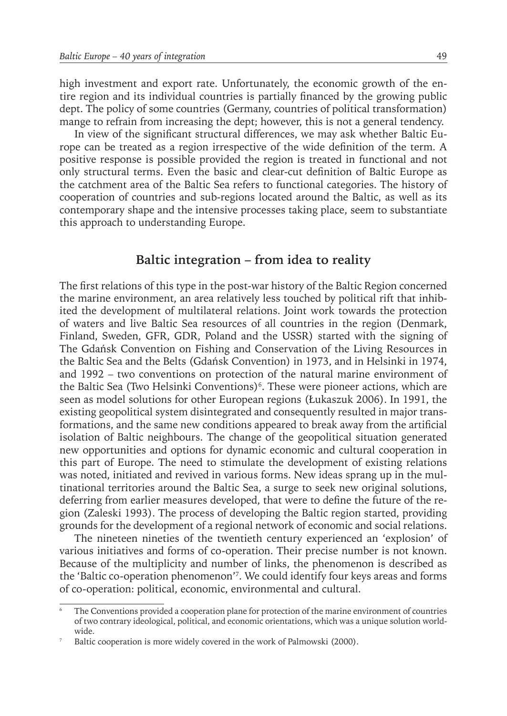high investment and export rate. Unfortunately, the economic growth of the entire region and its individual countries is partially financed by the growing public dept. The policy of some countries (Germany, countries of political transformation) mange to refrain from increasing the dept; however, this is not a general tendency.

In view of the significant structural differences, we may ask whether Baltic Europe can be treated as a region irrespective of the wide definition of the term. A positive response is possible provided the region is treated in functional and not only structural terms. Even the basic and clear-cut definition of Baltic Europe as the catchment area of the Baltic Sea refers to functional categories. The history of cooperation of countries and sub-regions located around the Baltic, as well as its contemporary shape and the intensive processes taking place, seem to substantiate this approach to understanding Europe.

#### **Baltic integration – from idea to reality**

The first relations of this type in the post-war history of the Baltic Region concerned the marine environment, an area relatively less touched by political rift that inhibited the development of multilateral relations. Joint work towards the protection of waters and live Baltic Sea resources of all countries in the region (Denmark, Finland, Sweden, GFR, GDR, Poland and the USSR) started with the signing of The Gdańsk Convention on Fishing and Conservation of the Living Resources in the Baltic Sea and the Belts (Gdańsk Convention) in 1973, and in Helsinki in 1974, and 1992 – two conventions on protection of the natural marine environment of the Baltic Sea (Two Helsinki Conventions)<sup>6</sup>. These were pioneer actions, which are seen as model solutions for other European regions (Łukaszuk 2006). In 1991, the existing geopolitical system disintegrated and consequently resulted in major transformations, and the same new conditions appeared to break away from the artificial isolation of Baltic neighbours. The change of the geopolitical situation generated new opportunities and options for dynamic economic and cultural cooperation in this part of Europe. The need to stimulate the development of existing relations was noted, initiated and revived in various forms. New ideas sprang up in the multinational territories around the Baltic Sea, a surge to seek new original solutions, deferring from earlier measures developed, that were to define the future of the region (Zaleski 1993). The process of developing the Baltic region started, providing grounds for the development of a regional network of economic and social relations.

The nineteen nineties of the twentieth century experienced an 'explosion' of various initiatives and forms of co-operation. Their precise number is not known. Because of the multiplicity and number of links, the phenomenon is described as the 'Baltic co-operation phenomenon'7 . We could identify four keys areas and forms of co-operation: political, economic, environmental and cultural.

The Conventions provided a cooperation plane for protection of the marine environment of countries of two contrary ideological, political, and economic orientations, which was a unique solution worldwide.

Baltic cooperation is more widely covered in the work of Palmowski (2000).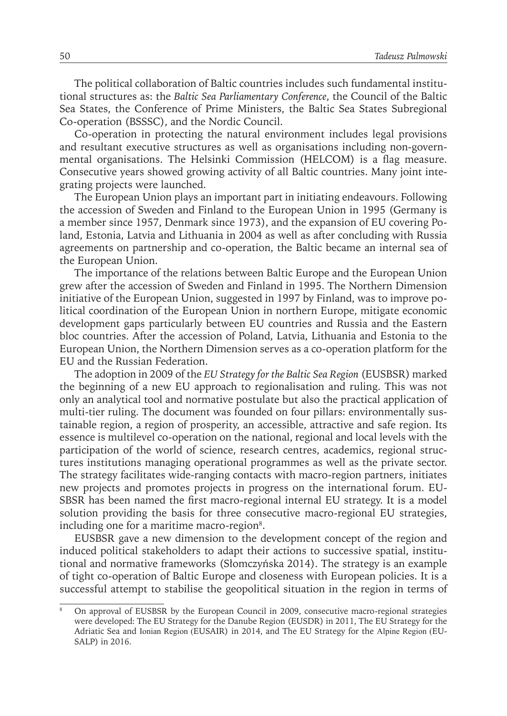The political collaboration of Baltic countries includes such fundamental institutional structures as: the *Baltic Sea Parliamentary Conference*, the Council of the Baltic Sea States, the Conference of Prime Ministers, the Baltic Sea States Subregional Co-operation (BSSSC), and the Nordic Council.

Co-operation in protecting the natural environment includes legal provisions and resultant executive structures as well as organisations including non-governmental organisations. The Helsinki Commission (HELCOM) is a flag measure. Consecutive years showed growing activity of all Baltic countries. Many joint integrating projects were launched.

The European Union plays an important part in initiating endeavours. Following the accession of Sweden and Finland to the European Union in 1995 (Germany is a member since 1957, Denmark since 1973), and the expansion of EU covering Poland, Estonia, Latvia and Lithuania in 2004 as well as after concluding with Russia agreements on partnership and co-operation, the Baltic became an internal sea of the European Union.

The importance of the relations between Baltic Europe and the European Union grew after the accession of Sweden and Finland in 1995. The Northern Dimension initiative of the European Union, suggested in 1997 by Finland, was to improve political coordination of the European Union in northern Europe, mitigate economic development gaps particularly between EU countries and Russia and the Eastern bloc countries. After the accession of Poland, Latvia, Lithuania and Estonia to the European Union, the Northern Dimension serves as a co-operation platform for the EU and the Russian Federation.

The adoption in 2009 of the *EU Strategy for the Baltic Sea Region* (EUSBSR) marked the beginning of a new EU approach to regionalisation and ruling. This was not only an analytical tool and normative postulate but also the practical application of multi-tier ruling. The document was founded on four pillars: environmentally sustainable region, a region of prosperity, an accessible, attractive and safe region. Its essence is multilevel co-operation on the national, regional and local levels with the participation of the world of science, research centres, academics, regional structures institutions managing operational programmes as well as the private sector. The strategy facilitates wide-ranging contacts with macro-region partners, initiates new projects and promotes projects in progress on the international forum. EU-SBSR has been named the first macro-regional internal EU strategy. It is a model solution providing the basis for three consecutive macro-regional EU strategies, including one for a maritime macro-region<sup>8</sup>.

EUSBSR gave a new dimension to the development concept of the region and induced political stakeholders to adapt their actions to successive spatial, institutional and normative frameworks (Słomczyńska 2014). The strategy is an example of tight co-operation of Baltic Europe and closeness with European policies. It is a successful attempt to stabilise the geopolitical situation in the region in terms of

<sup>8</sup> On approval of EUSBSR by the European Council in 2009, consecutive macro-regional strategies were developed: The EU Strategy for the Danube Region (EUSDR) in 2011, The EU Strategy for the Adriatic Sea and Ionian Region (EUSAIR) in 2014, and The EU Strategy for the Alpine Region (EU-SALP) in 2016.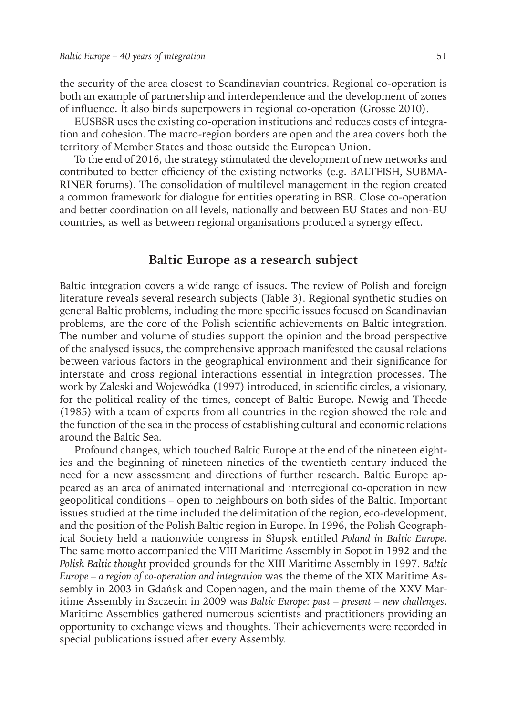the security of the area closest to Scandinavian countries. Regional co-operation is both an example of partnership and interdependence and the development of zones of influence. It also binds superpowers in regional co-operation (Grosse 2010).

EUSBSR uses the existing co-operation institutions and reduces costs of integration and cohesion. The macro-region borders are open and the area covers both the territory of Member States and those outside the European Union.

To the end of 2016, the strategy stimulated the development of new networks and contributed to better efficiency of the existing networks (e.g. BALTFISH, SUBMA-RINER forums). The consolidation of multilevel management in the region created a common framework for dialogue for entities operating in BSR. Close co-operation and better coordination on all levels, nationally and between EU States and non-EU countries, as well as between regional organisations produced a synergy effect.

#### **Baltic Europe as a research subject**

Baltic integration covers a wide range of issues. The review of Polish and foreign literature reveals several research subjects (Table 3). Regional synthetic studies on general Baltic problems, including the more specific issues focused on Scandinavian problems, are the core of the Polish scientific achievements on Baltic integration. The number and volume of studies support the opinion and the broad perspective of the analysed issues, the comprehensive approach manifested the causal relations between various factors in the geographical environment and their significance for interstate and cross regional interactions essential in integration processes. The work by Zaleski and Wojewódka (1997) introduced, in scientific circles, a visionary, for the political reality of the times, concept of Baltic Europe. Newig and Theede (1985) with a team of experts from all countries in the region showed the role and the function of the sea in the process of establishing cultural and economic relations around the Baltic Sea.

Profound changes, which touched Baltic Europe at the end of the nineteen eighties and the beginning of nineteen nineties of the twentieth century induced the need for a new assessment and directions of further research. Baltic Europe appeared as an area of animated international and interregional co-operation in new geopolitical conditions – open to neighbours on both sides of the Baltic. Important issues studied at the time included the delimitation of the region, eco-development, and the position of the Polish Baltic region in Europe. In 1996, the Polish Geographical Society held a nationwide congress in Słupsk entitled *Poland in Baltic Europe*. The same motto accompanied the VIII Maritime Assembly in Sopot in 1992 and the *Polish Baltic thought* provided grounds for the XIII Maritime Assembly in 1997. *Baltic Europe – a region of co-operation and integration* was the theme of the XIX Maritime Assembly in 2003 in Gdańsk and Copenhagen, and the main theme of the XXV Maritime Assembly in Szczecin in 2009 was *Baltic Europe: past – present – new challenges*. Maritime Assemblies gathered numerous scientists and practitioners providing an opportunity to exchange views and thoughts. Their achievements were recorded in special publications issued after every Assembly.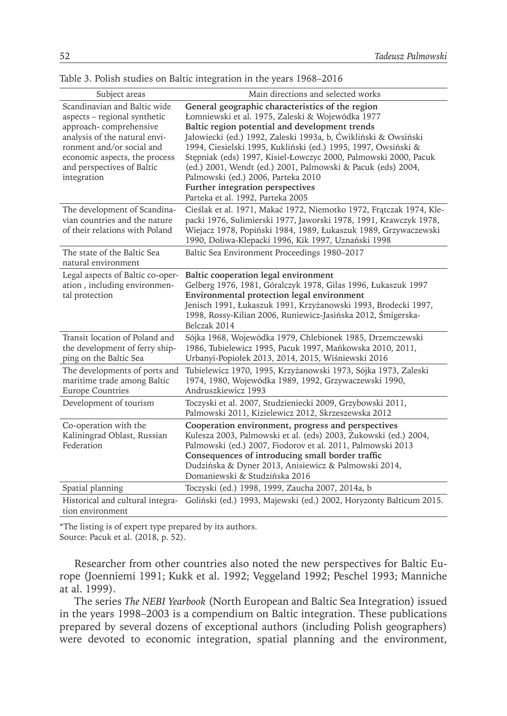| Subject areas                                                                                                                                                                                                                      | Main directions and selected works                                                                                                                                                                                                                                                                                                                                                                                                                                                                                                         |
|------------------------------------------------------------------------------------------------------------------------------------------------------------------------------------------------------------------------------------|--------------------------------------------------------------------------------------------------------------------------------------------------------------------------------------------------------------------------------------------------------------------------------------------------------------------------------------------------------------------------------------------------------------------------------------------------------------------------------------------------------------------------------------------|
| Scandinavian and Baltic wide<br>aspects – regional synthetic<br>approach-comprehensive<br>analysis of the natural envi-<br>ronment and/or social and<br>economic aspects, the process<br>and perspectives of Baltic<br>integration | General geographic characteristics of the region<br>Łomniewski et al. 1975, Zaleski & Wojewódka 1977<br>Baltic region potential and development trends<br>Jałowiecki (ed.) 1992, Zaleski 1993a, b, Ćwikliński & Owsiński<br>1994, Ciesielski 1995, Kukliński (ed.) 1995, 1997, Owsiński &<br>Stępniak (eds) 1997, Kisiel-Łowczyc 2000, Palmowski 2000, Pacuk<br>(ed.) 2001, Wendt (ed.) 2001, Palmowski & Pacuk (eds) 2004,<br>Palmowski (ed.) 2006, Parteka 2010<br>Further integration perspectives<br>Parteka et al. 1992, Parteka 2005 |
| The development of Scandina-<br>vian countries and the nature<br>of their relations with Poland                                                                                                                                    | Cieślak et al. 1971, Makać 1972, Niemotko 1972, Frątczak 1974, Kle-<br>packi 1976, Sulimierski 1977, Jaworski 1978, 1991, Krawczyk 1978,<br>Wiejacz 1978, Popiński 1984, 1989, Łukaszuk 1989, Grzywaczewski<br>1990, Doliwa-Klepacki 1996, Kik 1997, Uznański 1998                                                                                                                                                                                                                                                                         |
| The state of the Baltic Sea<br>natural environment                                                                                                                                                                                 | Baltic Sea Environment Proceedings 1980-2017                                                                                                                                                                                                                                                                                                                                                                                                                                                                                               |
| Legal aspects of Baltic co-oper-<br>ation, including environmen-<br>tal protection                                                                                                                                                 | Baltic cooperation legal environment<br>Gelberg 1976, 1981, Góralczyk 1978, Gilas 1996, Łukaszuk 1997<br>Environmental protection legal environment<br>Jenisch 1991, Łukaszuk 1991, Krzyżanowski 1993, Brodecki 1997,<br>1998, Rossy-Kilian 2006, Runiewicz-Jasińska 2012, Śmigerska-<br>Belczak 2014                                                                                                                                                                                                                                      |
| Transit location of Poland and<br>the development of ferry ship-<br>ping on the Baltic Sea                                                                                                                                         | Sójka 1968, Wojewódka 1979, Chlebionek 1985, Drzemczewski<br>1986, Tubielewicz 1995, Pacuk 1997, Mańkowska 2010, 2011,<br>Urbanyi-Popiołek 2013, 2014, 2015, Wiśniewski 2016                                                                                                                                                                                                                                                                                                                                                               |
| The developments of ports and<br>maritime trade among Baltic<br><b>Europe Countries</b>                                                                                                                                            | Tubielewicz 1970, 1995, Krzyżanowski 1973, Sójka 1973, Zaleski<br>1974, 1980, Wojewódka 1989, 1992, Grzywaczewski 1990,<br>Andruszkiewicz 1993                                                                                                                                                                                                                                                                                                                                                                                             |
| Development of tourism                                                                                                                                                                                                             | Toczyski et al. 2007, Studzieniecki 2009, Grzybowski 2011,<br>Palmowski 2011, Kizielewicz 2012, Skrzeszewska 2012                                                                                                                                                                                                                                                                                                                                                                                                                          |
| Co-operation with the<br>Kaliningrad Oblast, Russian<br>Federation                                                                                                                                                                 | Cooperation environment, progress and perspectives<br>Kulesza 2003, Palmowski et al. (eds) 2003, Zukowski (ed.) 2004,<br>Palmowski (ed.) 2007, Fiodorov et al. 2011, Palmowski 2013<br>Consequences of introducing small border traffic<br>Dudzińska & Dyner 2013, Anisiewicz & Palmowski 2014,<br>Domaniewski & Studzińska 2016                                                                                                                                                                                                           |
| Spatial planning                                                                                                                                                                                                                   | Toczyski (ed.) 1998, 1999, Zaucha 2007, 2014a, b                                                                                                                                                                                                                                                                                                                                                                                                                                                                                           |
| Historical and cultural integra-<br>tion environment                                                                                                                                                                               | Goliński (ed.) 1993, Majewski (ed.) 2002, Horyzonty Balticum 2015.                                                                                                                                                                                                                                                                                                                                                                                                                                                                         |

|  |  |  |  |  | Table 3. Polish studies on Baltic integration in the years 1968–2016 |  |  |  |  |  |  |
|--|--|--|--|--|----------------------------------------------------------------------|--|--|--|--|--|--|
|--|--|--|--|--|----------------------------------------------------------------------|--|--|--|--|--|--|

\*The listing is of expert type prepared by its authors.

Source: Pacuk et al. (2018, p. 52).

Researcher from other countries also noted the new perspectives for Baltic Europe (Joenniemi 1991; Kukk et al. 1992; Veggeland 1992; Peschel 1993; Manniche at al. 1999).

The series *The NEBI Yearbook* (North European and Baltic Sea Integration) issued in the years 1998–2003 is a compendium on Baltic integration. These publications prepared by several dozens of exceptional authors (including Polish geographers) were devoted to economic integration, spatial planning and the environment,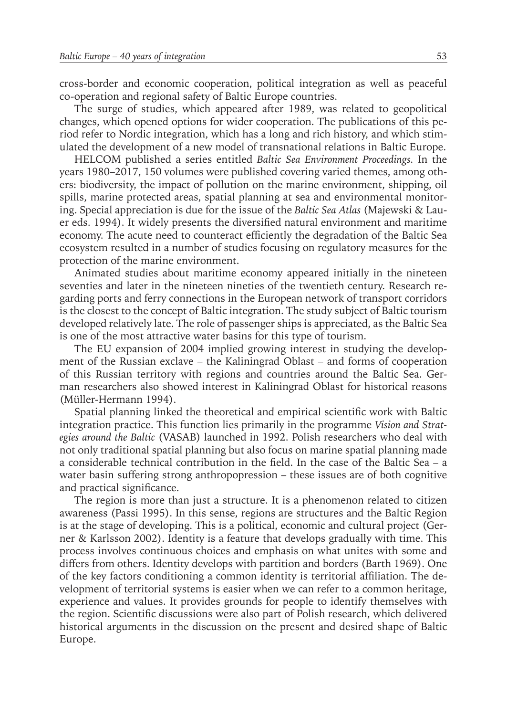cross-border and economic cooperation, political integration as well as peaceful co-operation and regional safety of Baltic Europe countries.

The surge of studies, which appeared after 1989, was related to geopolitical changes, which opened options for wider cooperation. The publications of this period refer to Nordic integration, which has a long and rich history, and which stimulated the development of a new model of transnational relations in Baltic Europe.

HELCOM published a series entitled *Baltic Sea Environment Proceedings.* In the years 1980–2017, 150 volumes were published covering varied themes, among others: biodiversity, the impact of pollution on the marine environment, shipping, oil spills, marine protected areas, spatial planning at sea and environmental monitoring. Special appreciation is due for the issue of the *Baltic Sea Atlas* (Majewski & Lauer eds. 1994). It widely presents the diversified natural environment and maritime economy. The acute need to counteract efficiently the degradation of the Baltic Sea ecosystem resulted in a number of studies focusing on regulatory measures for the protection of the marine environment.

Animated studies about maritime economy appeared initially in the nineteen seventies and later in the nineteen nineties of the twentieth century. Research regarding ports and ferry connections in the European network of transport corridors is the closest to the concept of Baltic integration. The study subject of Baltic tourism developed relatively late. The role of passenger ships is appreciated, as the Baltic Sea is one of the most attractive water basins for this type of tourism.

The EU expansion of 2004 implied growing interest in studying the development of the Russian exclave – the Kaliningrad Oblast – and forms of cooperation of this Russian territory with regions and countries around the Baltic Sea. German researchers also showed interest in Kaliningrad Oblast for historical reasons (Müller-Hermann 1994).

Spatial planning linked the theoretical and empirical scientific work with Baltic integration practice. This function lies primarily in the programme *Vision and Strategies around the Baltic* (VASAB) launched in 1992. Polish researchers who deal with not only traditional spatial planning but also focus on marine spatial planning made a considerable technical contribution in the field. In the case of the Baltic Sea – a water basin suffering strong anthropopression – these issues are of both cognitive and practical significance.

The region is more than just a structure. It is a phenomenon related to citizen awareness (Passi 1995). In this sense, regions are structures and the Baltic Region is at the stage of developing. This is a political, economic and cultural project (Gerner & Karlsson 2002). Identity is a feature that develops gradually with time. This process involves continuous choices and emphasis on what unites with some and differs from others. Identity develops with partition and borders (Barth 1969). One of the key factors conditioning a common identity is territorial affiliation. The development of territorial systems is easier when we can refer to a common heritage, experience and values. It provides grounds for people to identify themselves with the region. Scientific discussions were also part of Polish research, which delivered historical arguments in the discussion on the present and desired shape of Baltic Europe.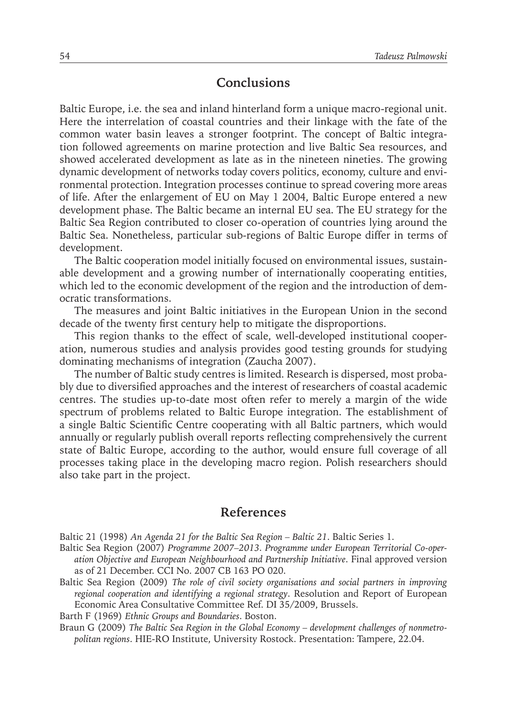#### **Conclusions**

Baltic Europe, i.e. the sea and inland hinterland form a unique macro-regional unit. Here the interrelation of coastal countries and their linkage with the fate of the common water basin leaves a stronger footprint. The concept of Baltic integration followed agreements on marine protection and live Baltic Sea resources, and showed accelerated development as late as in the nineteen nineties. The growing dynamic development of networks today covers politics, economy, culture and environmental protection. Integration processes continue to spread covering more areas of life. After the enlargement of EU on May 1 2004, Baltic Europe entered a new development phase. The Baltic became an internal EU sea. The EU strategy for the Baltic Sea Region contributed to closer co-operation of countries lying around the Baltic Sea. Nonetheless, particular sub-regions of Baltic Europe differ in terms of development.

The Baltic cooperation model initially focused on environmental issues, sustainable development and a growing number of internationally cooperating entities, which led to the economic development of the region and the introduction of democratic transformations.

The measures and joint Baltic initiatives in the European Union in the second decade of the twenty first century help to mitigate the disproportions.

This region thanks to the effect of scale, well-developed institutional cooperation, numerous studies and analysis provides good testing grounds for studying dominating mechanisms of integration (Zaucha 2007).

The number of Baltic study centres is limited. Research is dispersed, most probably due to diversified approaches and the interest of researchers of coastal academic centres. The studies up-to-date most often refer to merely a margin of the wide spectrum of problems related to Baltic Europe integration. The establishment of a single Baltic Scientific Centre cooperating with all Baltic partners, which would annually or regularly publish overall reports reflecting comprehensively the current state of Baltic Europe, according to the author, would ensure full coverage of all processes taking place in the developing macro region. Polish researchers should also take part in the project.

#### **References**

Baltic 21 (1998) *An Agenda 21 for the Baltic Sea Region – Baltic 21*. Baltic Series 1.

- Baltic Sea Region (2007) *Programme 2007–2013. Programme under European Territorial Co-operation Objective and European Neighbourhood and Partnership Initiative*. Final approved version as of 21 December. CCI No. 2007 CB 163 PO 020.
- Baltic Sea Region (2009) *The role of civil society organisations and social partners in improving regional cooperation and identifying a regional strategy*. Resolution and Report of European Economic Area Consultative Committee Ref. DI 35/2009, Brussels.

Barth F (1969) *Ethnic Groups and Boundaries*. Boston.

Braun G (2009) *The Baltic Sea Region in the Global Economy – development challenges of nonmetropolitan regions*. HIE-RO Institute, University Rostock. Presentation: Tampere, 22.04.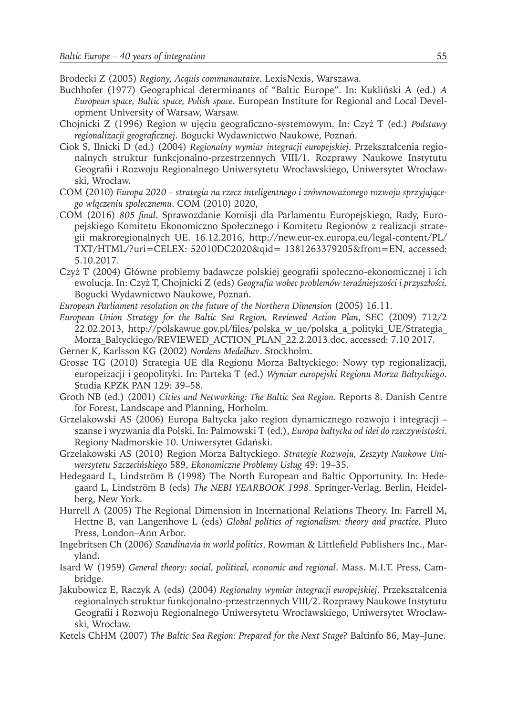Brodecki Z (2005) *Regiony, Acquis communautaire*. LexisNexis, Warszawa.

- Buchhofer (1977) Geographical determinants of "Baltic Europe". In: Kukliński A (ed.) *A European space, Baltic space, Polish space*. European Institute for Regional and Local Development University of Warsaw, Warsaw.
- Chojnicki Z (1996) Region w ujęciu geograficzno-systemowym. In: Czyż T (ed.) *Podstawy regionalizacji geograficznej*. Bogucki Wydawnictwo Naukowe, Poznań.
- Ciok S, Ilnicki D (ed.) (2004) *Regionalny wymiar integracji europejskiej*. Przekształcenia regionalnych struktur funkcjonalno-przestrzennych VIII/1. Rozprawy Naukowe Instytutu Geografii i Rozwoju Regionalnego Uniwersytetu Wrocławskiego, Uniwersytet Wrocławski, Wrocław.
- COM (2010) *Europa 2020 strategia na rzecz inteligentnego i zrównoważonego rozwoju sprzyjającego włączeniu społecznemu*. COM (2010) 2020,
- COM (2016) *805 final*. Sprawozdanie Komisji dla Parlamentu Europejskiego, Rady, Europejskiego Komitetu Ekonomiczno Społecznego i Komitetu Regionów z realizacji strategii makroregionalnych UE. 16.12.2016, http://new.eur-ex.europa.eu/legal-content/PL/ TXT/HTML/?uri=CELEX: 52010DC2020&qid= 1381263379205&from=EN, accessed: 5.10.2017.
- Czyż T (2004) Główne problemy badawcze polskiej geografii społeczno-ekonomicznej i ich ewolucja. In: Czyż T, Chojnicki Z (eds) *Geografia wobec problemów teraźniejszości i przyszłości*. Bogucki Wydawnictwo Naukowe, Poznań.
- *European Parliament resolution on the future of the Northern Dimension* (2005) 16.11.
- *European Union Strategy for the Baltic Sea Region, Reviewed Action Plan*, SEC (2009) 712/2 22.02.2013, http://polskawue.gov.pl/files/polska\_w\_ue/polska\_a\_polityki\_UE/Strategia\_ Morza\_Baltyckiego/REVIEWED\_ACTION\_PLAN\_22.2.2013.doc, accessed: 7.10 2017.
- Gerner K, Karlsson KG (2002) *Nordens Medelhav*. Stockholm.
- Grosse TG (2010) Strategia UE dla Regionu Morza Bałtyckiego: Nowy typ regionalizacji, europeizacji i geopolityki. In: Parteka T (ed.) *Wymiar europejski Regionu Morza Bałtyckiego*. Studia KPZK PAN 129: 39–58.
- Groth NB (ed.) (2001) *Cities and Networking: The Baltic Sea Region*. Reports 8. Danish Centre for Forest, Landscape and Planning, Horholm.
- Grzelakowski AS (2006) Europa Bałtycka jako region dynamicznego rozwoju i integracji szanse i wyzwania dla Polski. In: Palmowski T (ed.), *Europa bałtycka od idei do rzeczywistości*. Regiony Nadmorskie 10. Uniwersytet Gdański.
- Grzelakowski AS (2010) Region Morza Bałtyckiego. *Strategie Rozwoju, Zeszyty Naukowe Uniwersytetu Szczecińskiego* 589, *Ekonomiczne Problemy Usług* 49: 19–35.
- Hedegaard L, Lindström B (1998) The North European and Baltic Opportunity. In: Hedegaard L, Lindström B (eds) *The NEBI YEARBOOK 1998*. Springer-Verlag, Berlin, Heidelberg, New York.
- Hurrell A (2005) The Regional Dimension in International Relations Theory. In: Farrell M, Hettne B, van Langenhove L (eds) *Global politics of regionalism: theory and practice*. Pluto Press, London–Ann Arbor.
- Ingebritsen Ch (2006) *Scandinavia in world politics*. Rowman & Littlefield Publishers Inc., Maryland.
- Isard W (1959) *General theory: social, political, economic and regional*. Mass. M.I.T. Press, Cambridge.
- Jakubowicz E, Raczyk A (eds) (2004) *Regionalny wymiar integracji europejskiej*. Przekształcenia regionalnych struktur funkcjonalno-przestrzennych VIII/2. Rozprawy Naukowe Instytutu Geografii i Rozwoju Regionalnego Uniwersytetu Wrocławskiego, Uniwersytet Wrocławski, Wrocław.
- Ketels ChHM (2007) *The Baltic Sea Region: Prepared for the Next Stage*? Baltinfo 86, May–June.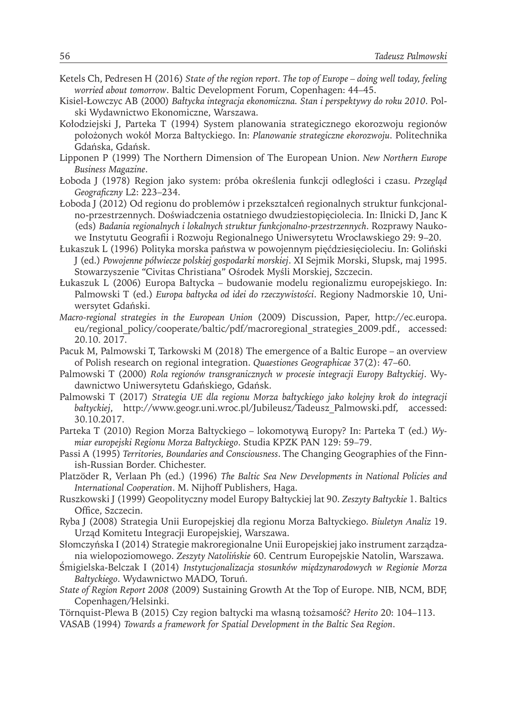- Ketels Ch, Pedresen H (2016) *State of the region report. The top of Europe doing well today, feeling worried about tomorrow*. Baltic Development Forum, Copenhagen: 44–45.
- Kisiel-Łowczyc AB (2000) *Bałtycka integracja ekonomiczna. Stan i perspektywy do roku 2010*. Polski Wydawnictwo Ekonomiczne, Warszawa.
- Kołodziejski J, Parteka T (1994) System planowania strategicznego ekorozwoju regionów położonych wokół Morza Bałtyckiego. In: *Planowanie strategiczne ekorozwoju*. Politechnika Gdańska, Gdańsk.
- Lipponen P (1999) The Northern Dimension of The European Union. *New Northern Europe Business Magazine*.
- Łoboda J (1978) Region jako system: próba określenia funkcji odległości i czasu. *Przegląd Geograficzny* L2: 223–234.
- Łoboda J (2012) Od regionu do problemów i przekształceń regionalnych struktur funkcjonalno-przestrzennych. Doświadczenia ostatniego dwudziestopięciolecia. In: Ilnicki D, Janc K (eds) *Badania regionalnych i lokalnych struktur funkcjonalno-przestrzennych*. Rozprawy Naukowe Instytutu Geografii i Rozwoju Regionalnego Uniwersytetu Wrocławskiego 29: 9–20.
- Łukaszuk L (1996) Polityka morska państwa w powojennym pięćdziesięcioleciu. In: Goliński J (ed.) *Powojenne półwiecze polskiej gospodarki morskiej*. XI Sejmik Morski, Słupsk, maj 1995. Stowarzyszenie "Civitas Christiana" Ośrodek Myśli Morskiej, Szczecin.
- Łukaszuk L (2006) Europa Bałtycka budowanie modelu regionalizmu europejskiego. In: Palmowski T (ed.) *Europa bałtycka od idei do rzeczywistości*. Regiony Nadmorskie 10, Uniwersytet Gdański.
- *Macro-regional strategies in the European Union* (2009) Discussion, Paper, http://ec.europa. eu/regional\_policy/cooperate/baltic/pdf/macroregional\_strategies\_2009.pdf., accessed: 20.10. 2017.
- Pacuk M, Palmowski T, Tarkowski M (2018) The emergence of a Baltic Europe an overview of Polish research on regional integration. *Quaestiones Geographicae* 37(2): 47–60.
- Palmowski T (2000) *Rola regionów transgranicznych w procesie integracji Europy Bałtyckiej*. Wydawnictwo Uniwersytetu Gdańskiego, Gdańsk.
- Palmowski T (2017) *Strategia UE dla regionu Morza bałtyckiego jako kolejny krok do integracji bałtyckiej*, http://www.geogr.uni.wroc.pl/Jubileusz/Tadeusz\_Palmowski.pdf, accessed: 30.10.2017.
- Parteka T (2010) Region Morza Bałtyckiego lokomotywą Europy? In: Parteka T (ed.) *Wymiar europejski Regionu Morza Bałtyckiego*. Studia KPZK PAN 129: 59–79.
- Passi A (1995) *Territories, Boundaries and Consciousness*. The Changing Geographies of the Finnish-Russian Border. Chichester.
- Platzöder R, Verlaan Ph (ed.) (1996) *The Baltic Sea New Developments in National Policies and International Cooperation*. M. Nijhoff Publishers, Haga.
- Ruszkowski J (1999) Geopolityczny model Europy Bałtyckiej lat 90. *Zeszyty Bałtyckie* 1. Baltics Office, Szczecin.
- Ryba J (2008) Strategia Unii Europejskiej dla regionu Morza Bałtyckiego. *Biuletyn Analiz* 19. Urząd Komitetu Integracji Europejskiej, Warszawa.
- Słomczyńska I (2014) Strategie makroregionalne Unii Europejskiej jako instrument zarządzania wielopoziomowego. *Zeszyty Natolińskie* 60. Centrum Europejskie Natolin, Warszawa.
- Śmigielska-Belczak I (2014) *Instytucjonalizacja stosunków międzynarodowych w Regionie Morza Bałtyckiego*. Wydawnictwo MADO, Toruń.
- *State of Region Report 2008* (2009) Sustaining Growth At the Top of Europe. NIB, NCM, BDF, Copenhagen/Helsinki.
- Törnquist-Plewa B (2015) Czy region bałtycki ma własną tożsamość? *Herito* 20: 104–113. VASAB (1994) *Towards a framework for Spatial Development in the Baltic Sea Region*.